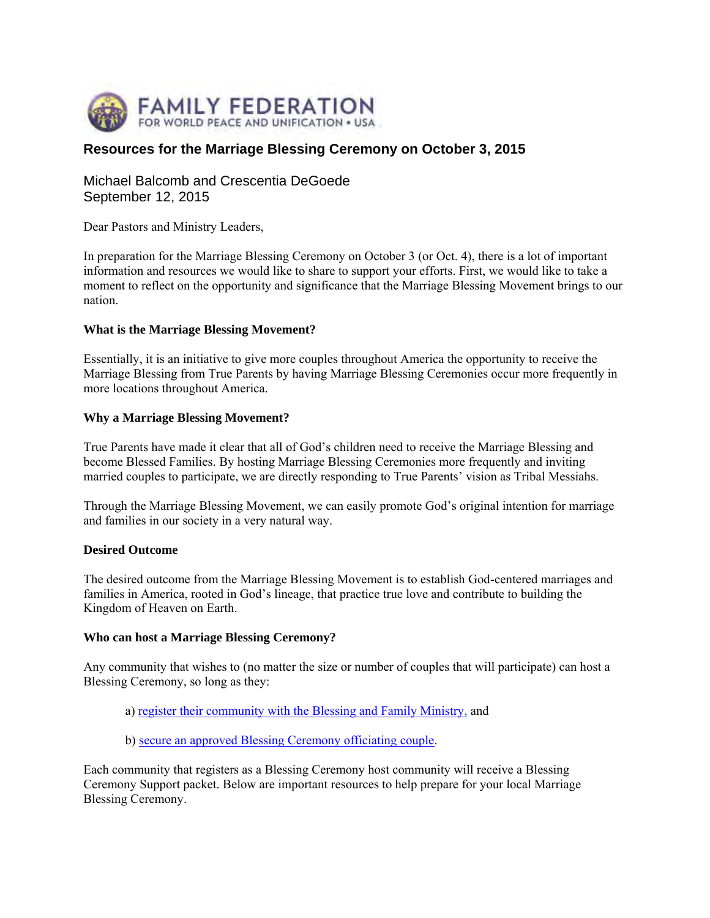

# **Resources for the Marriage Blessing Ceremony on October 3, 2015**

Michael Balcomb and Crescentia DeGoede September 12, 2015

Dear Pastors and Ministry Leaders,

In preparation for the Marriage Blessing Ceremony on October 3 (or Oct. 4), there is a lot of important information and resources we would like to share to support your efforts. First, we would like to take a moment to reflect on the opportunity and significance that the Marriage Blessing Movement brings to our nation.

# **What is the Marriage Blessing Movement?**

Essentially, it is an initiative to give more couples throughout America the opportunity to receive the Marriage Blessing from True Parents by having Marriage Blessing Ceremonies occur more frequently in more locations throughout America.

# **Why a Marriage Blessing Movement?**

True Parents have made it clear that all of God's children need to receive the Marriage Blessing and become Blessed Families. By hosting Marriage Blessing Ceremonies more frequently and inviting married couples to participate, we are directly responding to True Parents' vision as Tribal Messiahs.

Through the Marriage Blessing Movement, we can easily promote God's original intention for marriage and families in our society in a very natural way.

#### **Desired Outcome**

The desired outcome from the Marriage Blessing Movement is to establish God-centered marriages and families in America, rooted in God's lineage, that practice true love and contribute to building the Kingdom of Heaven on Earth.

# **Who can host a Marriage Blessing Ceremony?**

Any community that wishes to (no matter the size or number of couples that will participate) can host a Blessing Ceremony, so long as they:

- a) register their community with the Blessing and Family Ministry, and
- b) secure an approved Blessing Ceremony officiating couple.

Each community that registers as a Blessing Ceremony host community will receive a Blessing Ceremony Support packet. Below are important resources to help prepare for your local Marriage Blessing Ceremony.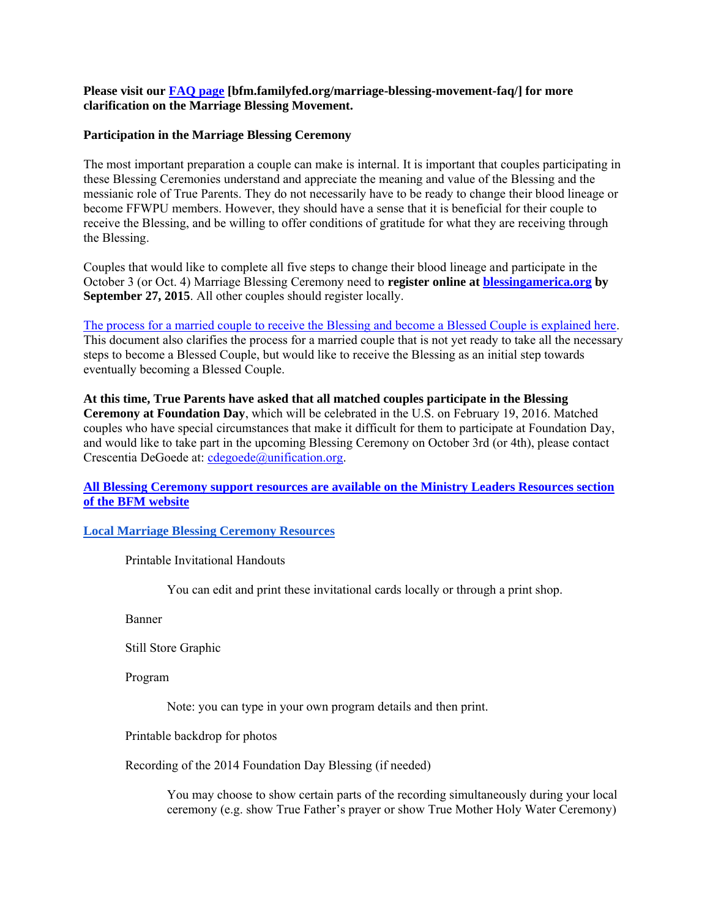# **Please visit our FAQ page [bfm.familyfed.org/marriage-blessing-movement-faq/] for more clarification on the Marriage Blessing Movement.**

# **Participation in the Marriage Blessing Ceremony**

The most important preparation a couple can make is internal. It is important that couples participating in these Blessing Ceremonies understand and appreciate the meaning and value of the Blessing and the messianic role of True Parents. They do not necessarily have to be ready to change their blood lineage or become FFWPU members. However, they should have a sense that it is beneficial for their couple to receive the Blessing, and be willing to offer conditions of gratitude for what they are receiving through the Blessing.

Couples that would like to complete all five steps to change their blood lineage and participate in the October 3 (or Oct. 4) Marriage Blessing Ceremony need to **register online at blessingamerica.org by September 27, 2015**. All other couples should register locally.

The process for a married couple to receive the Blessing and become a Blessed Couple is explained here. This document also clarifies the process for a married couple that is not yet ready to take all the necessary steps to become a Blessed Couple, but would like to receive the Blessing as an initial step towards eventually becoming a Blessed Couple.

**At this time, True Parents have asked that all matched couples participate in the Blessing Ceremony at Foundation Day**, which will be celebrated in the U.S. on February 19, 2016. Matched couples who have special circumstances that make it difficult for them to participate at Foundation Day, and would like to take part in the upcoming Blessing Ceremony on October 3rd (or 4th), please contact Crescentia DeGoede at: cdegoede@unification.org.

# **All Blessing Ceremony support resources are available on the Ministry Leaders Resources section of the BFM website**

**Local Marriage Blessing Ceremony Resources**

Printable Invitational Handouts

You can edit and print these invitational cards locally or through a print shop.

Banner

Still Store Graphic

Program

Note: you can type in your own program details and then print.

Printable backdrop for photos

Recording of the 2014 Foundation Day Blessing (if needed)

You may choose to show certain parts of the recording simultaneously during your local ceremony (e.g. show True Father's prayer or show True Mother Holy Water Ceremony)